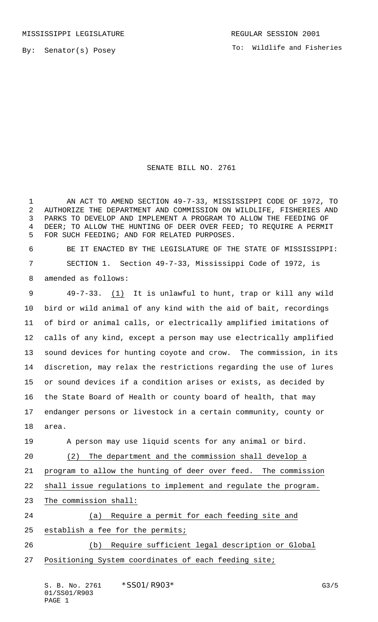By: Senator(s) Posey

## SENATE BILL NO. 2761

 AN ACT TO AMEND SECTION 49-7-33, MISSISSIPPI CODE OF 1972, TO AUTHORIZE THE DEPARTMENT AND COMMISSION ON WILDLIFE, FISHERIES AND PARKS TO DEVELOP AND IMPLEMENT A PROGRAM TO ALLOW THE FEEDING OF 4 DEER; TO ALLOW THE HUNTING OF DEER OVER FEED; TO REQUIRE A PERMIT FOR SUCH FEEDING; AND FOR RELATED PURPOSES.

 BE IT ENACTED BY THE LEGISLATURE OF THE STATE OF MISSISSIPPI: SECTION 1. Section 49-7-33, Mississippi Code of 1972, is amended as follows:

 49-7-33. (1) It is unlawful to hunt, trap or kill any wild bird or wild animal of any kind with the aid of bait, recordings of bird or animal calls, or electrically amplified imitations of calls of any kind, except a person may use electrically amplified sound devices for hunting coyote and crow. The commission, in its discretion, may relax the restrictions regarding the use of lures or sound devices if a condition arises or exists, as decided by the State Board of Health or county board of health, that may endanger persons or livestock in a certain community, county or area.

 A person may use liquid scents for any animal or bird. (2) The department and the commission shall develop a

program to allow the hunting of deer over feed. The commission

shall issue regulations to implement and regulate the program.

23 The commission shall:

 (a) Require a permit for each feeding site and establish a fee for the permits;

 (b) Require sufficient legal description or Global Positioning System coordinates of each feeding site;